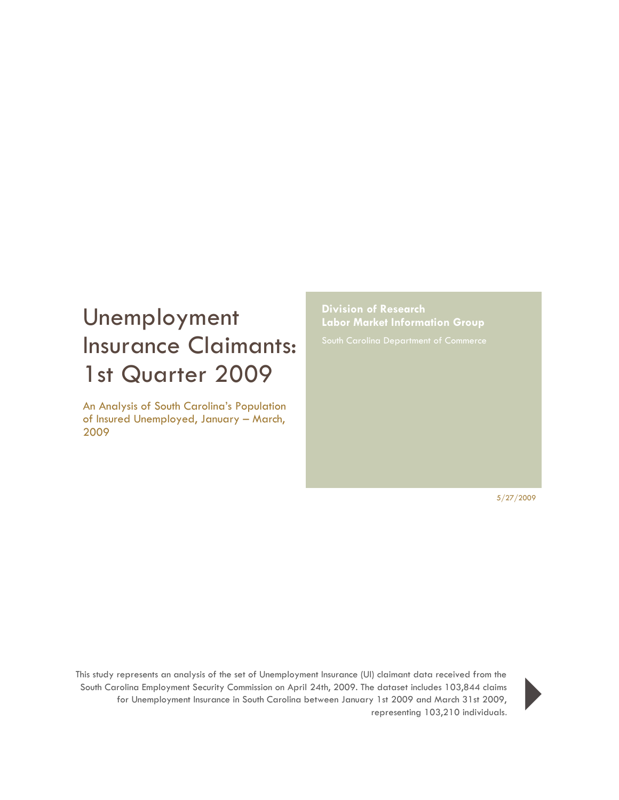## Unemployment Insurance Claimants: 1st Quarter 2009

An Analysis of South Carolina's Population of Insured Unemployed, January – March, 2009

**Division of Research Labor Market Information Group**

5/27/2009

This study represents an analysis of the set of Unemployment Insurance (UI) claimant data received from the South Carolina Employment Security Commission on April 24th, 2009. The dataset includes 103,844 claims for Unemployment Insurance in South Carolina between January 1st 2009 and March 31st 2009, representing 103,844 claims<br>
representing 103,210 individuals.

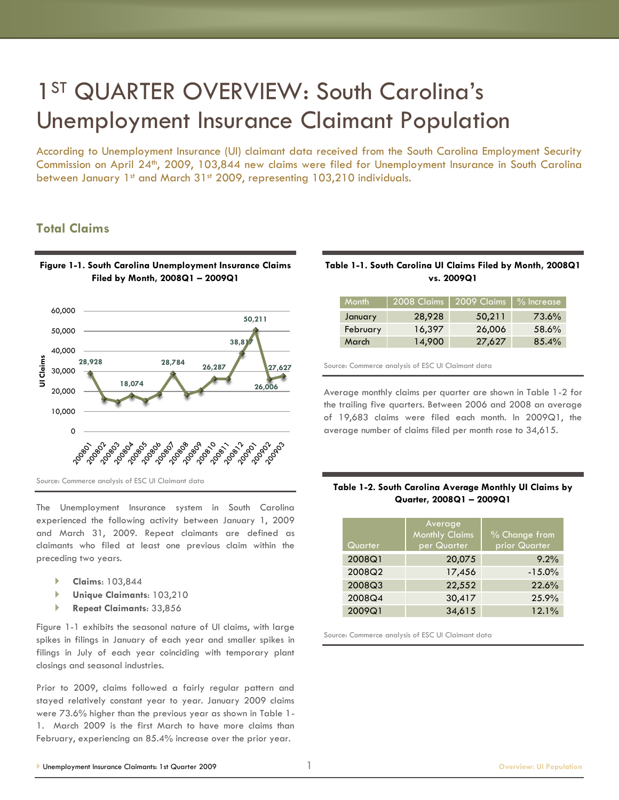## 1<sup>ST</sup> QUARTER OVERVIEW: South Carolina's Unemployment Insurance Claimant Population

According to Unemployment Insurance (UI) claimant data received from the South Carolina Employment Security Commission on April 24th, 2009, 103,844 new claims were filed for Unemployment Insurance in South Carolina between January 1st and March 31st 2009, representing 103,210 individuals.

## **Total Claims**



**Filed by Month, 2008Q1 – 2009Q1**

The Unemployment Insurance system in South Carolina experienced the following activity between January 1, 2009 and March 31, 2009. Repeat claimants are defined as claimants who filed at least one previous claim within the preceding two years.

- **Claims**: 103,844
- **Unique Claimants**: 103,210
- **Repeat Claimants**: 33,856

Figure 1-1 exhibits the seasonal nature of UI claims, with large spikes in filings in January of each year and smaller spikes in filings in July of each year coinciding with temporary plant closings and seasonal industries.

Prior to 2009, claims followed a fairly regular pattern and stayed relatively constant year to year. January 2009 claims were 73.6% higher than the previous year as shown in Table 1- 1. March 2009 is the first March to have more claims than February, experiencing an 85.4% increase over the prior year.

#### **Table 1-1. South Carolina UI Claims Filed by Month, 2008Q1 vs. 2009Q1**

| <b>Month</b> | 2008 Claims | 2009_Claims 7 % Increase, |       |
|--------------|-------------|---------------------------|-------|
| January      | 28,928      | 50,211                    | 73.6% |
| February     | 16,397      | 26,006                    | 58.6% |
| March        | 14,900      | 27,627                    | 85.4% |

Source: Commerce analysis of ESC UI Claimant data

Average monthly claims per quarter are shown in Table 1-2 for the trailing five quarters. Between 2006 and 2008 an average of 19,683 claims were filed each month. In 2009Q1, the average number of claims filed per month rose to 34,615.

#### **Table 1-2. South Carolina Average Monthly UI Claims by Quarter, 2008Q1 – 2009Q1**

| Quarter | Average<br><b>Monthly Claims</b><br>per Quarter | % Change from<br>prior Quarter |
|---------|-------------------------------------------------|--------------------------------|
| 2008Q1  | 20,075                                          | 9.2%                           |
| 2008Q2  | 17,456                                          | $-15.0%$                       |
| 2008Q3  | 22,552                                          | 22.6%                          |
| 2008Q4  | 30,417                                          | 25.9%                          |
| 2009Q1  | 34,615                                          | 12.1%                          |

Source: Commerce analysis of ESC UI Claimant data

# **Figure 1-1. South Carolina Unemployment Insurance Claims**

Source: Commerce analysis of ESC UI Claimant data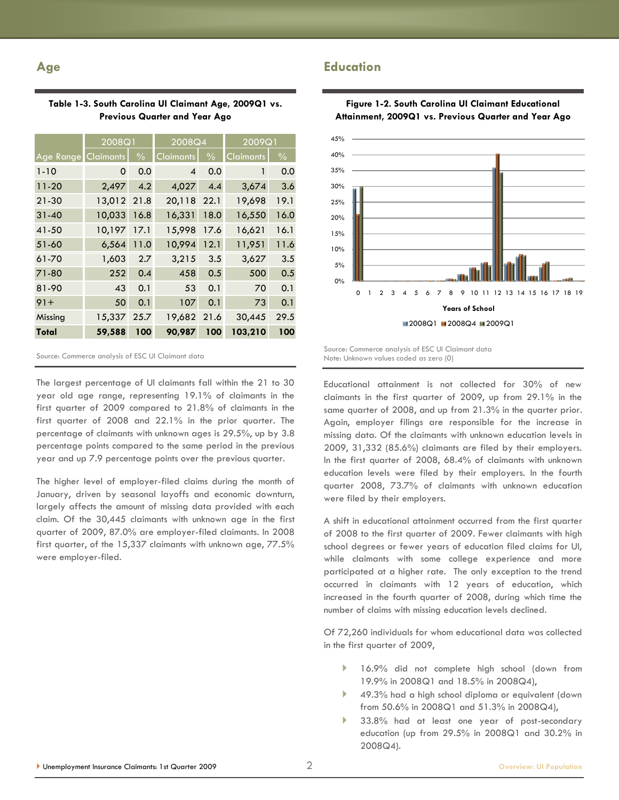### **Age**

| Table 1-3. South Carolina UI Claimant Age, 2009Q1 vs. |  |
|-------------------------------------------------------|--|
| <b>Previous Quarter and Year Ago</b>                  |  |

|                  | 2008Q1      |               | 2008Q4                   |               | 2009Q1    |               |
|------------------|-------------|---------------|--------------------------|---------------|-----------|---------------|
| <b>Age Range</b> | Claimants   | $\frac{0}{0}$ | Claimants                | $\frac{0}{0}$ | Claimants | $\frac{0}{0}$ |
| $1 - 10$         | 0           | 0.0           | $\overline{\mathcal{A}}$ | 0.0           | 1         | 0.0           |
| $11 - 20$        | 2,497       | 4.2           | 4,027                    | 4.4           | 3,674     | 3.6           |
| $21 - 30$        | 13,012 21.8 |               | 20,118                   | 22.1          | 19,698    | 19.1          |
| $31 - 40$        | 10,033      | 16.8          | 16,331                   | 18.0          | 16,550    | 16.0          |
| 41-50            | 10,197      | 17.1          | 15,998                   | 17.6          | 16,621    | 16.1          |
| 51-60            | 6,564       | 11.0          | 10,994                   | 12.1          | 11,951    | 11.6          |
| 61-70            | 1,603       | 2.7           | 3,215                    | 3.5           | 3,627     | 3.5           |
| 71-80            | 252         | 0.4           | 458                      | 0.5           | 500       | 0.5           |
| 81-90            | 43          | 0.1           | 53                       | 0.1           | 70        | 0.1           |
| $91 +$           | 50          | 0.1           | 107                      | 0.1           | 73        | 0.1           |
| Missing          | 15,337      | 25.7          | 19,682                   | 21.6          | 30,445    | 29.5          |
| Total            | 59,588      | 100           | 90,987                   | 100           | 103,210   | 100           |

Source: Commerce analysis of ESC UI Claimant data

The largest percentage of UI claimants fall within the 21 to 30 year old age range, representing 19.1% of claimants in the first quarter of 2009 compared to 21.8% of claimants in the first quarter of 2008 and 22.1% in the prior quarter. The percentage of claimants with unknown ages is 29.5%, up by 3.8 percentage points compared to the same period in the previous year and up 7.9 percentage points over the previous quarter.

The higher level of employer-filed claims during the month of January, driven by seasonal layoffs and economic downturn, largely affects the amount of missing data provided with each claim. Of the 30,445 claimants with unknown age in the first quarter of 2009, 87.0% are employer-filed claimants. In 2008 first quarter, of the 15,337 claimants with unknown age, 77.5% were employer-filed.



**Figure 1-2. South Carolina UI Claimant Educational** 

## **Education**

Source: Commerce analysis of ESC UI Claimant data Note: Unknown values coded as zero (0)

Educational attainment is not collected for 30% of new claimants in the first quarter of 2009, up from 29.1% in the same quarter of 2008, and up from 21.3% in the quarter prior. Again, employer filings are responsible for the increase in missing data. Of the claimants with unknown education levels in 2009, 31,332 (85.6%) claimants are filed by their employers. In the first quarter of 2008, 68.4% of claimants with unknown education levels were filed by their employers. In the fourth quarter 2008, 73.7% of claimants with unknown education were filed by their employers.

A shift in educational attainment occurred from the first quarter of 2008 to the first quarter of 2009. Fewer claimants with high school degrees or fewer years of education filed claims for UI, while claimants with some college experience and more participated at a higher rate. The only exception to the trend occurred in claimants with 12 years of education, which increased in the fourth quarter of 2008, during which time the number of claims with missing education levels declined.

Of 72,260 individuals for whom educational data was collected in the first quarter of 2009,

- 16.9% did not complete high school (down from 19.9% in 2008Q1 and 18.5% in 2008Q4),
- 49.3% had a high school diploma or equivalent (down from 50.6% in 2008Q1 and 51.3% in 2008Q4),
- 33.8% had at least one year of post-secondary education (up from 29.5% in 2008Q1 and 30.2% in 2008Q4).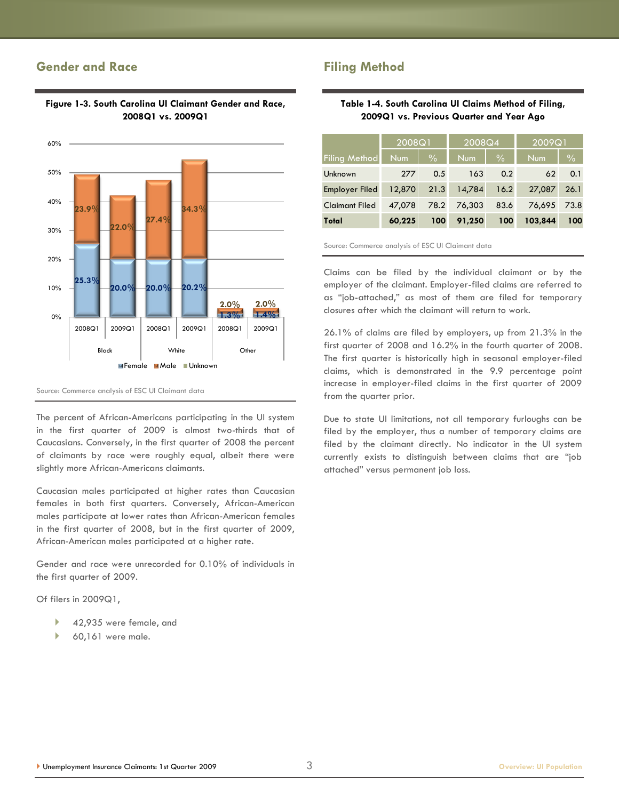## **Gender and Race**



## **Figure 1-3. South Carolina UI Claimant Gender and Race, 2008Q1 vs. 2009Q1**

Source: Commerce analysis of ESC UI Claimant data

The percent of African-Americans participating in the UI system in the first quarter of 2009 is almost two-thirds that of Caucasians. Conversely, in the first quarter of 2008 the percent of claimants by race were roughly equal, albeit there were slightly more African-Americans claimants.

Caucasian males participated at higher rates than Caucasian females in both first quarters. Conversely, African-American males participate at lower rates than African-American females in the first quarter of 2008, but in the first quarter of 2009, African-American males participated at a higher rate.

Gender and race were unrecorded for 0.10% of individuals in the first quarter of 2009.

Of filers in 2009Q1,

- ▶ 42,935 were female, and
- 60,161 were male.

## **Filing Method**

#### **Table 1-4. South Carolina UI Claims Method of Filing, 2009Q1 vs. Previous Quarter and Year Ago**

|                       | 2008Q1 |               | 12008Q4    |               | 2009Q1     |               |
|-----------------------|--------|---------------|------------|---------------|------------|---------------|
| <b>Filing Method</b>  | Num    | $\frac{0}{0}$ | <b>Num</b> | $\frac{0}{0}$ | <b>Num</b> | $\frac{0}{0}$ |
| Unknown               | 277    | 0.5           | 163        | 0.2           | 62         | 0.1           |
| Employer Filed        | 12,870 | 21.3          | 14,784     | 16.2          | 27,087     | 26.1          |
| <b>Claimant Filed</b> | 47.078 | 78.2          | 76,303     | 83.6          | 76,695     | 73.8          |
| Total                 | 60,225 | 100           | 91,250     | 100           | 103,844    | 100           |

Source: Commerce analysis of ESC UI Claimant data

Claims can be filed by the individual claimant or by the employer of the claimant. Employer-filed claims are referred to as "job-attached," as most of them are filed for temporary closures after which the claimant will return to work.

26.1% of claims are filed by employers, up from 21.3% in the first quarter of 2008 and 16.2% in the fourth quarter of 2008. The first quarter is historically high in seasonal employer-filed claims, which is demonstrated in the 9.9 percentage point increase in employer-filed claims in the first quarter of 2009 from the quarter prior.

Due to state UI limitations, not all temporary furloughs can be filed by the employer, thus a number of temporary claims are filed by the claimant directly. No indicator in the UI system currently exists to distinguish between claims that are "job attached‖ versus permanent job loss.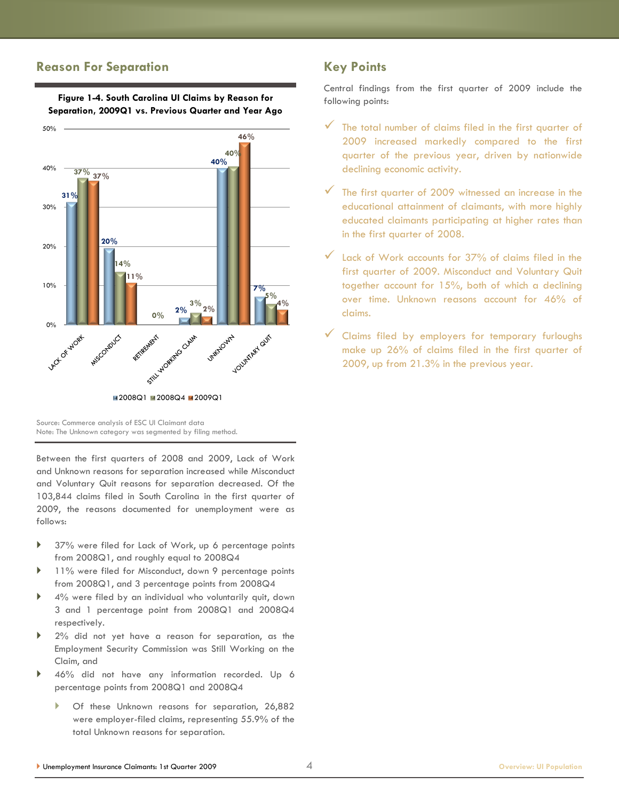### **Reason For Separation**



**Figure 1-4. South Carolina UI Claims by Reason for Separation, 2009Q1 vs. Previous Quarter and Year Ago**

Source: Commerce analysis of ESC UI Claimant data Note: The Unknown category was segmented by filing method.

Between the first quarters of 2008 and 2009, Lack of Work and Unknown reasons for separation increased while Misconduct and Voluntary Quit reasons for separation decreased. Of the 103,844 claims filed in South Carolina in the first quarter of 2009, the reasons documented for unemployment were as follows:

- 37% were filed for Lack of Work, up 6 percentage points from 2008Q1, and roughly equal to 2008Q4
- 11% were filed for Misconduct, down 9 percentage points from 2008Q1, and 3 percentage points from 2008Q4
- 4% were filed by an individual who voluntarily quit, down 3 and 1 percentage point from 2008Q1 and 2008Q4 respectively.
- 2% did not yet have a reason for separation, as the Employment Security Commission was Still Working on the Claim, and
- 46% did not have any information recorded. Up 6 percentage points from 2008Q1 and 2008Q4
	- Of these Unknown reasons for separation, 26,882 were employer-filed claims, representing 55.9% of the total Unknown reasons for separation.

## **Key Points**

Central findings from the first quarter of 2009 include the following points:

- The total number of claims filed in the first quarter of 2009 increased markedly compared to the first quarter of the previous year, driven by nationwide declining economic activity.
- The first quarter of 2009 witnessed an increase in the educational attainment of claimants, with more highly educated claimants participating at higher rates than in the first quarter of 2008.
- Lack of Work accounts for 37% of claims filed in the first quarter of 2009. Misconduct and Voluntary Quit together account for 15%, both of which a declining over time. Unknown reasons account for 46% of claims.
- Claims filed by employers for temporary furloughs make up 26% of claims filed in the first quarter of 2009, up from 21.3% in the previous year.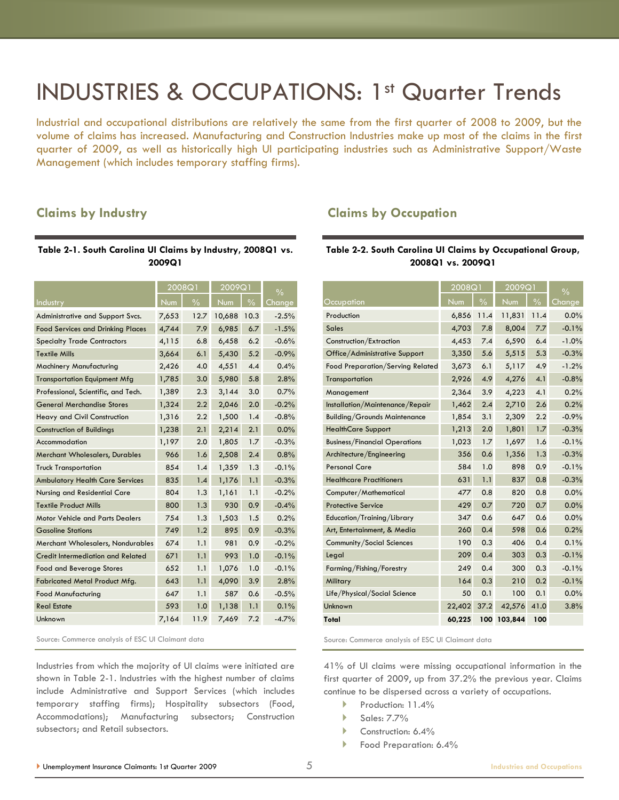## INDUSTRIES & OCCUPATIONS: 1st Quarter Trends

Industrial and occupational distributions are relatively the same from the first quarter of 2008 to 2009, but the volume of claims has increased. Manufacturing and Construction Industries make up most of the claims in the first quarter of 2009, as well as historically high UI participating industries such as Administrative Support/Waste Management (which includes temporary staffing firms).

## **Claims by Industry**

#### **Table 2-1. South Carolina UI Claims by Industry, 2008Q1 vs. 2009Q1**

|                                          | 2008Q1 |               | 2009Q1 |               | $\frac{0}{0}$ |
|------------------------------------------|--------|---------------|--------|---------------|---------------|
| Industry                                 | Num    | $\frac{0}{0}$ | Num    | $\frac{0}{0}$ | <b>Change</b> |
| Administrative and Support Svcs.         | 7,653  | 12.7          | 10,688 | 10.3          | $-2.5%$       |
| <b>Food Services and Drinking Places</b> | 4,744  | 7.9           | 6,985  | 6.7           | $-1.5%$       |
| <b>Specialty Trade Contractors</b>       | 4,115  | 6.8           | 6,458  | 6.2           | $-0.6%$       |
| <b>Textile Mills</b>                     | 3,664  | 6.1           | 5,430  | 5.2           | $-0.9%$       |
| Machinery Manufacturing                  | 2,426  | 4.0           | 4,551  | 4.4           | 0.4%          |
| <b>Transportation Equipment Mfg</b>      | 1,785  | 3.0           | 5,980  | 5.8           | 2.8%          |
| Professional, Scientific, and Tech.      | 1,389  | 2.3           | 3,144  | 3.0           | 0.7%          |
| <b>General Merchandise Stores</b>        | 1,324  | 2.2           | 2,046  | 2.0           | $-0.2%$       |
| Heavy and Civil Construction             | 1,316  | 2.2           | 1,500  | 1.4           | $-0.8%$       |
| <b>Construction of Buildings</b>         | 1,238  | 2.1           | 2,214  | 2.1           | 0.0%          |
| Accommodation                            | 1,197  | 2.0           | 1,805  | 1.7           | $-0.3%$       |
| Merchant Wholesalers, Durables           | 966    | 1.6           | 2,508  | 2.4           | 0.8%          |
| <b>Truck Transportation</b>              | 854    | 1.4           | 1,359  | 1.3           | $-0.1%$       |
| <b>Ambulatory Health Care Services</b>   | 835    | 1.4           | 1,176  | 1.1           | $-0.3%$       |
| Nursing and Residential Care             | 804    | 1.3           | 1,161  | 1.1           | $-0.2%$       |
| <b>Textile Product Mills</b>             | 800    | 1.3           | 930    | 0.9           | $-0.4%$       |
| <b>Motor Vehicle and Parts Dealers</b>   | 754    | 1.3           | 1,503  | 1.5           | 0.2%          |
| <b>Gasoline Stations</b>                 | 749    | 1.2           | 895    | 0.9           | $-0.3%$       |
| Merchant Wholesalers, Nondurables        | 674    | 1.1           | 981    | 0.9           | $-0.2%$       |
| <b>Credit Intermediation and Related</b> | 671    | 1.1           | 993    | 1.0           | $-0.1%$       |
| <b>Food and Beverage Stores</b>          | 652    | 1.1           | 1,076  | 1.0           | $-0.1%$       |
| Fabricated Metal Product Mfg.            | 643    | 1.1           | 4,090  | 3.9           | 2.8%          |
| <b>Food Manufacturing</b>                | 647    | 1.1           | 587    | 0.6           | $-0.5%$       |
| <b>Real Estate</b>                       | 593    | 1.0           | 1,138  | 1.1           | 0.1%          |
| Unknown                                  | 7,164  | 11.9          | 7,469  | 7.2           | $-4.7%$       |

Source: Commerce analysis of ESC UI Claimant data

Industries from which the majority of UI claims were initiated are shown in Table 2-1. Industries with the highest number of claims include Administrative and Support Services (which includes temporary staffing firms); Hospitality subsectors (Food, Accommodations); Manufacturing subsectors; Construction subsectors; and Retail subsectors.

## **Claims by Occupation**

#### **Table 2-2. South Carolina UI Claims by Occupational Group, 2008Q1 vs. 2009Q1**

|                                      | 2008Q1 |               | 2009Q1  |               | $\frac{0}{0}$ |
|--------------------------------------|--------|---------------|---------|---------------|---------------|
| Occupation                           | Num    | $\frac{0}{0}$ | Num     | $\frac{0}{0}$ | Change        |
| Production                           | 6,856  | 11.4          | 11,831  | 11.4          | 0.0%          |
| <b>Sales</b>                         | 4,703  | 7.8           | 8,004   | 7.7           | $-0.1%$       |
| Construction/Extraction              | 4,453  | 7.4           | 6,590   | 6.4           | $-1.0%$       |
| Office/Administrative Support        | 3,350  | 5.6           | 5,515   | 5.3           | $-0.3%$       |
| Food Preparation/Serving Related     | 3,673  | 6.1           | 5,117   | 4.9           | $-1.2%$       |
| Transportation                       | 2,926  | 4.9           | 4,276   | 4.1           | $-0.8%$       |
| Management                           | 2,364  | 3.9           | 4,223   | 4.1           | 0.2%          |
| Installation/Maintenance/Repair      | 1,462  | 2.4           | 2,710   | 2.6           | 0.2%          |
| <b>Building/Grounds Maintenance</b>  | 1,854  | 3.1           | 2,309   | 2.2           | $-0.9%$       |
| <b>HealthCare Support</b>            | 1,213  | 2.0           | 1,801   | 1.7           | $-0.3%$       |
| <b>Business/Financial Operations</b> | 1,023  | 1.7           | 1,697   | 1.6           | $-0.1%$       |
| Architecture/Engineering             | 356    | 0.6           | 1,356   | 1.3           | $-0.3%$       |
| <b>Personal Care</b>                 | 584    | 1.0           | 898     | 0.9           | $-0.1%$       |
| <b>Healthcare Practitioners</b>      | 631    | 1.1           | 837     | 0.8           | $-0.3%$       |
| Computer/Mathematical                | 477    | 0.8           | 820     | 0.8           | 0.0%          |
| <b>Protective Service</b>            | 429    | 0.7           | 720     | 0.7           | 0.0%          |
| Education/Training/Library           | 347    | 0.6           | 647     | 0.6           | 0.0%          |
| Art, Entertainment, & Media          | 260    | 0.4           | 598     | 0.6           | 0.2%          |
| Community/Social Sciences            | 190    | 0.3           | 406     | 0.4           | 0.1%          |
| Legal                                | 209    | 0.4           | 303     | 0.3           | $-0.1%$       |
| Farming/Fishing/Forestry             | 249    | 0.4           | 300     | 0.3           | $-0.1%$       |
| Military                             | 164    | 0.3           | 210     | 0.2           | $-0.1%$       |
| Life/Physical/Social Science         | 50     | 0.1           | 100     | 0.1           | 0.0%          |
| Unknown                              | 22,402 | 37.2          | 42,576  | 41.0          | 3.8%          |
| Total                                | 60,225 | 100           | 103,844 | 100           |               |

Source: Commerce analysis of ESC UI Claimant data

41% of UI claims were missing occupational information in the first quarter of 2009, up from 37.2% the previous year. Claims continue to be dispersed across a variety of occupations.

- Production: 11.4%
- $\blacktriangleright$  Sales: 7.7%
- Construction: 6.4%
- Food Preparation: 6.4%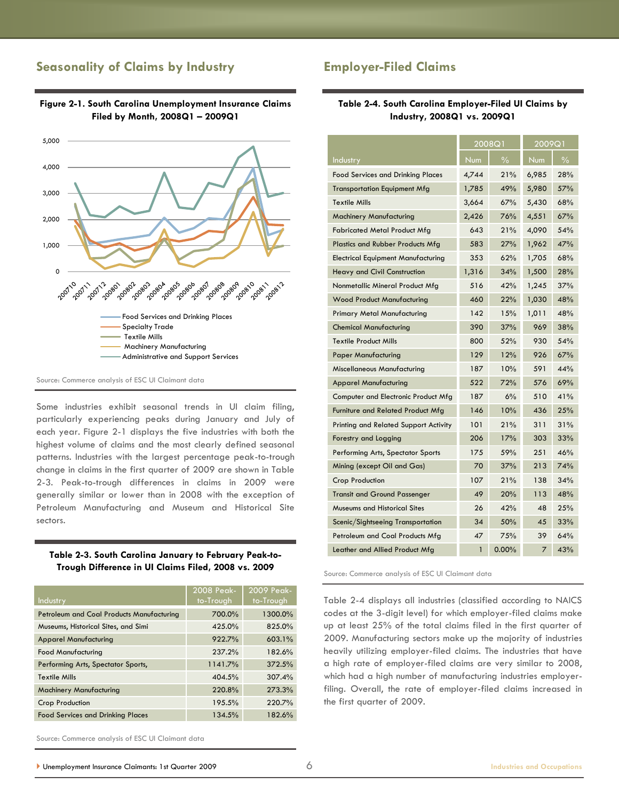## **Seasonality of Claims by Industry**



#### **Figure 2-1. South Carolina Unemployment Insurance Claims Filed by Month, 2008Q1 – 2009Q1**

Source: Commerce analysis of ESC UI Claimant data

Some industries exhibit seasonal trends in UI claim filing, particularly experiencing peaks during January and July of each year. Figure 2-1 displays the five industries with both the highest volume of claims and the most clearly defined seasonal patterns. Industries with the largest percentage peak-to-trough change in claims in the first quarter of 2009 are shown in Table 2-3. Peak-to-trough differences in claims in 2009 were generally similar or lower than in 2008 with the exception of Petroleum Manufacturing and Museum and Historical Site sectors.

#### **Table 2-3. South Carolina January to February Peak-to-Trough Difference in UI Claims Filed, 2008 vs. 2009**

| <b>Industry</b>                           | 2008 Peak-<br>to-Trough | 2009 Peak-<br>to-Trough |
|-------------------------------------------|-------------------------|-------------------------|
| Petroleum and Coal Products Manufacturing | 700.0%                  | 1300.0%                 |
| Museums, Historical Sites, and Simi       | 425.0%                  | 825.0%                  |
| <b>Apparel Manufacturing</b>              | 922.7%                  | 603.1%                  |
| <b>Food Manufacturing</b>                 | 237.2%                  | 182.6%                  |
| Performing Arts, Spectator Sports,        | 1141.7%                 | 372.5%                  |
| <b>Textile Mills</b>                      | 404.5%                  | 307.4%                  |
| <b>Machinery Manufacturing</b>            | 220.8%                  | 273.3%                  |
| <b>Crop Production</b>                    | 195.5%                  | 220.7%                  |
| <b>Food Services and Drinking Places</b>  | 134.5%                  | 182.6%                  |

## **Employer-Filed Claims**

#### **Table 2-4. South Carolina Employer-Filed UI Claims by Industry, 2008Q1 vs. 2009Q1**

|                                           | 2008Q1       |               | 2009Q1         |               |
|-------------------------------------------|--------------|---------------|----------------|---------------|
| Industry                                  | <b>Num</b>   | $\frac{0}{6}$ | <b>Num</b>     | $\frac{0}{6}$ |
| <b>Food Services and Drinking Places</b>  | 4,744        | 21%           | 6,985          | 28%           |
| <b>Transportation Equipment Mfg</b>       | 1,785        | 49%           | 5,980          | 57%           |
| <b>Textile Mills</b>                      | 3,664        | 67%           | 5,430          | 68%           |
| <b>Machinery Manufacturing</b>            | 2,426        | 76%           | 4,551          | 67%           |
| <b>Fabricated Metal Product Mfg</b>       | 643          | 21%           | 4,090          | 54%           |
| Plastics and Rubber Products Mfg          | 583          | 27%           | 1,962          | 47%           |
| <b>Electrical Equipment Manufacturing</b> | 353          | 62%           | 1,705          | 68%           |
| Heavy and Civil Construction              | 1,316        | 34%           | 1,500          | 28%           |
| Nonmetallic Mineral Product Mfg           | 516          | 42%           | 1,245          | 37%           |
| <b>Wood Product Manufacturing</b>         | 460          | 22%           | 1,030          | 48%           |
| Primary Metal Manufacturing               | 142          | 15%           | 1,011          | 48%           |
| <b>Chemical Manufacturing</b>             | 390          | 37%           | 969            | 38%           |
| <b>Textile Product Mills</b>              | 800          | 52%           | 930            | 54%           |
| <b>Paper Manufacturing</b>                | 129          | 12%           | 926            | 67%           |
| Miscellaneous Manufacturing               | 187          | 10%           | 591            | 44%           |
| <b>Apparel Manufacturing</b>              | 522          | 72%           | 576            | 69%           |
| Computer and Electronic Product Mfg       | 187          | 6%            | 510            | 41%           |
| Furniture and Related Product Mfg         | 146          | 10%           | 436            | 25%           |
| Printing and Related Support Activity     | 101          | 21%           | 311            | 31%           |
| Forestry and Logging                      | 206          | 17%           | 303            | 33%           |
| Performing Arts, Spectator Sports         | 175          | 59%           | 251            | 46%           |
| Mining (except Oil and Gas)               | 70           | 37%           | 213            | 74%           |
| Crop Production                           | 107          | 21%           | 138            | 34%           |
| <b>Transit and Ground Passenger</b>       | 49           | 20%           | 113            | 48%           |
| Museums and Historical Sites              | 26           | 42%           | 48             | 25%           |
| Scenic/Sightseeing Transportation         | 34           | 50%           | 45             | 33%           |
| Petroleum and Coal Products Mfg           | 47           | 75%           | 39             | 64%           |
| Leather and Allied Product Mfg            | $\mathbf{1}$ | 0.00%         | $\overline{7}$ | 43%           |

Source: Commerce analysis of ESC UI Claimant data

Table 2-4 displays all industries (classified according to NAICS codes at the 3-digit level) for which employer-filed claims make up at least 25% of the total claims filed in the first quarter of 2009. Manufacturing sectors make up the majority of industries heavily utilizing employer-filed claims. The industries that have a high rate of employer-filed claims are very similar to 2008, which had a high number of manufacturing industries employerfiling. Overall, the rate of employer-filed claims increased in the first quarter of 2009.

Source: Commerce analysis of ESC UI Claimant data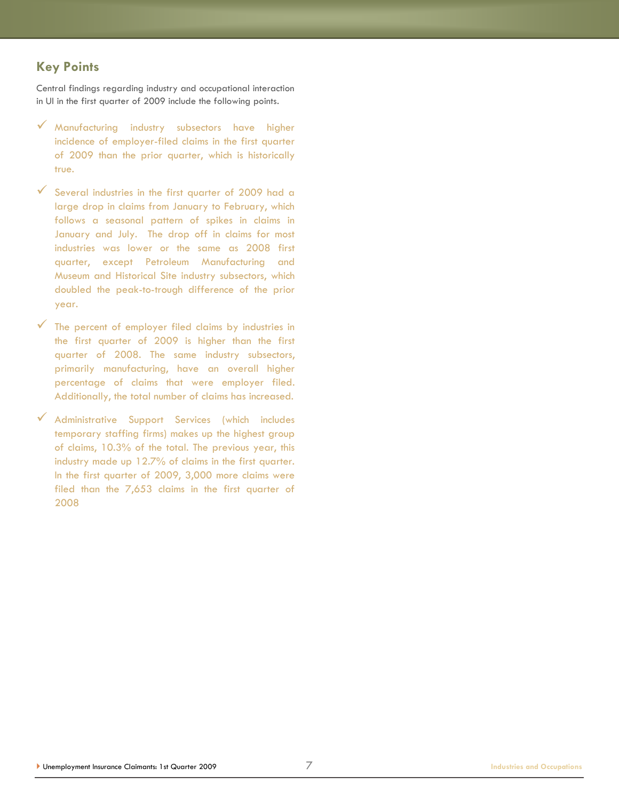## **Key Points**

Central findings regarding industry and occupational interaction in UI in the first quarter of 2009 include the following points.

- Manufacturing industry subsectors have higher incidence of employer-filed claims in the first quarter of 2009 than the prior quarter, which is historically true.
- $\checkmark$  Several industries in the first quarter of 2009 had a large drop in claims from January to February, which follows a seasonal pattern of spikes in claims in January and July. The drop off in claims for most industries was lower or the same as 2008 first quarter, except Petroleum Manufacturing and Museum and Historical Site industry subsectors, which doubled the peak-to-trough difference of the prior year.
- The percent of employer filed claims by industries in the first quarter of 2009 is higher than the first quarter of 2008. The same industry subsectors, primarily manufacturing, have an overall higher percentage of claims that were employer filed. Additionally, the total number of claims has increased.
- Administrative Support Services (which includes temporary staffing firms) makes up the highest group of claims, 10.3% of the total. The previous year, this industry made up 12.7% of claims in the first quarter. In the first quarter of 2009, 3,000 more claims were filed than the 7,653 claims in the first quarter of 2008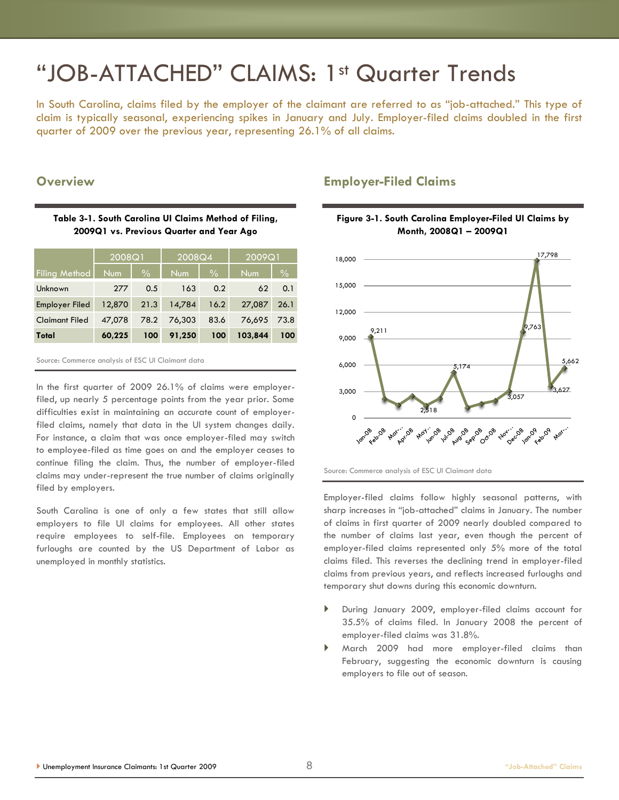## "JOB-ATTACHED" CLAIMS: 1st Quarter Trends

In South Carolina, claims filed by the employer of the claimant are referred to as "job-attached." This type of claim is typically seasonal, experiencing spikes in January and July. Employer-filed claims doubled in the first quarter of 2009 over the previous year, representing 26.1% of all claims.

### **Overview**

#### **Table 3-1. South Carolina UI Claims Method of Filing, 2009Q1 vs. Previous Quarter and Year Ago**

|                       | 2008Q1     |               | 2008Q4     |               | 2009Q1     |               |
|-----------------------|------------|---------------|------------|---------------|------------|---------------|
| <b>Filing Method</b>  | <b>Num</b> | $\frac{0}{0}$ | <b>Num</b> | $\frac{0}{0}$ | <b>Num</b> | $\frac{0}{0}$ |
| Unknown               | 277        | 0.5           | 163        | 0.2           | 62         | 0.1           |
| Employer Filed        | 12,870     | 21.3          | 14,784     | 16.2          | 27,087     | 26.1          |
| <b>Claimant Filed</b> | 47,078     | 78.2          | 76,303     | 83.6          | 76,695     | 73.8          |
| Total                 | 60,225     | 100           | 91,250     | 100           | 103,844    | 100           |

Source: Commerce analysis of ESC UI Claimant data

In the first quarter of 2009 26.1% of claims were employerfiled, up nearly 5 percentage points from the year prior. Some difficulties exist in maintaining an accurate count of employerfiled claims, namely that data in the UI system changes daily. For instance, a claim that was once employer-filed may switch to employee-filed as time goes on and the employer ceases to continue filing the claim. Thus, the number of employer-filed claims may under-represent the true number of claims originally filed by employers.

South Carolina is one of only a few states that still allow employers to file UI claims for employees. All other states require employees to self-file. Employees on temporary furloughs are counted by the US Department of Labor as unemployed in monthly statistics.

## **Employer-Filed Claims**





Employer-filed claims follow highly seasonal patterns, with sharp increases in "job-attached" claims in January. The number of claims in first quarter of 2009 nearly doubled compared to the number of claims last year, even though the percent of employer-filed claims represented only 5% more of the total claims filed. This reverses the declining trend in employer-filed claims from previous years, and reflects increased furloughs and temporary shut downs during this economic downturn.

- During January 2009, employer-filed claims account for 35.5% of claims filed. In January 2008 the percent of employer-filed claims was 31.8%.
- March 2009 had more employer-filed claims than February, suggesting the economic downturn is causing employers to file out of season.

Source: Commerce analysis of ESC UI Claimant data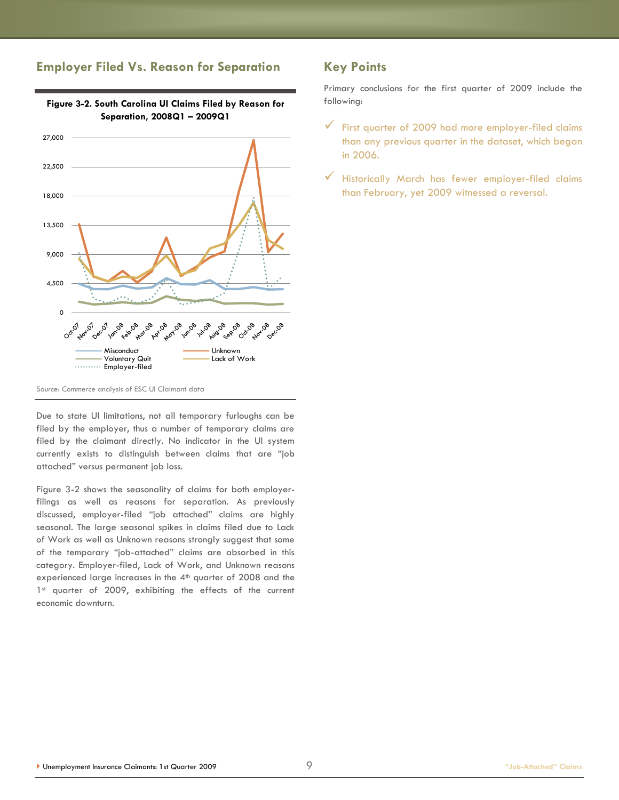## **Employer Filed Vs. Reason for Separation**



#### Source: Commerce analysis of ESC UI Claimant data

Due to state UI limitations, not all temporary furloughs can be filed by the employer, thus a number of temporary claims are filed by the claimant directly. No indicator in the UI system currently exists to distinguish between claims that are "job attached‖ versus permanent job loss.

Figure 3-2 shows the seasonality of claims for both employerfilings as well as reasons for separation. As previously discussed, employer-filed "job attached" claims are highly seasonal. The large seasonal spikes in claims filed due to Lack of Work as well as Unknown reasons strongly suggest that some of the temporary "job-attached" claims are absorbed in this category. Employer-filed, Lack of Work, and Unknown reasons experienced large increases in the 4<sup>th</sup> quarter of 2008 and the 1st quarter of 2009, exhibiting the effects of the current economic downturn.

## **Key Points**

Primary conclusions for the first quarter of 2009 include the following:

- $\checkmark$  First quarter of 2009 had more employer-filed claims than any previous quarter in the dataset, which began in 2006.
- $\checkmark$  Historically March has fewer employer-filed claims than February, yet 2009 witnessed a reversal.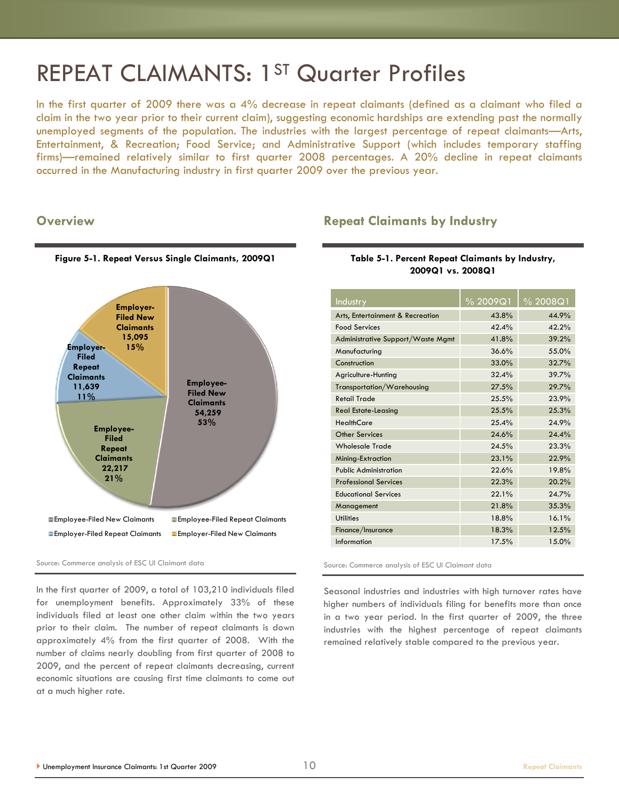## REPEAT CLAIMANTS: 1ST Quarter Profiles

In the first quarter of 2009 there was a 4% decrease in repeat claimants (defined as a claimant who filed a claim in the two year prior to their current claim), suggesting economic hardships are extending past the normally unemployed segments of the population. The industries with the largest percentage of repeat claimants—Arts, Entertainment, & Recreation; Food Service; and Administrative Support (which includes temporary staffing firms)—remained relatively similar to first quarter 2008 percentages. A 20% decline in repeat claimants occurred in the Manufacturing industry in first quarter 2009 over the previous year.

#### **Overview**



#### **Table 5-1. Percent Repeat Claimants by Industry, 2009Q1 vs. 2008Q1**

**Repeat Claimants by Industry**

| Industry                          | % 2009Q1 | $\frac{9}{6}$ 2008Q1 |
|-----------------------------------|----------|----------------------|
| Arts, Entertainment & Recreation  | 43.8%    | 44.9%                |
| <b>Food Services</b>              | 42.4%    | 42.2%                |
| Administrative Support/Waste Mgmt | 41.8%    | 39.2%                |
| Manufacturing                     | 36.6%    | 55.0%                |
| Construction                      | 33.0%    | 32.7%                |
| Agriculture-Hunting               | 32.4%    | 39.7%                |
| Transportation/Warehousing        | 27.5%    | 29.7%                |
| <b>Retail Trade</b>               | 25.5%    | 23.9%                |
| <b>Real Estate-Leasing</b>        | 25.5%    | 25.3%                |
| <b>HealthCare</b>                 | 25.4%    | 24.9%                |
| Other Services                    | 24.6%    | 24.4%                |
| <b>Wholesale Trade</b>            | 24.5%    | 23.3%                |
| Mining-Extraction                 | 23.1%    | 22.9%                |
| <b>Public Administration</b>      | 22.6%    | 19.8%                |
| <b>Professional Services</b>      | 22.3%    | 20.2%                |
| <b>Educational Services</b>       | 22.1%    | 24.7%                |
| Management                        | 21.8%    | 35.3%                |
| <b>Utilities</b>                  | 18.8%    | 16.1%                |
| Finance/Insurance                 | 18.3%    | 12.5%                |
| Information                       | 17.5%    | 15.0%                |

Source: Commerce analysis of ESC UI Claimant data

In the first quarter of 2009, a total of 103,210 individuals filed for unemployment benefits. Approximately 33% of these individuals filed at least one other claim within the two years prior to their claim. The number of repeat claimants is down approximately 4% from the first quarter of 2008. With the number of claims nearly doubling from first quarter of 2008 to 2009, and the percent of repeat claimants decreasing, current economic situations are causing first time claimants to come out at a much higher rate.

Source: Commerce analysis of ESC UI Claimant data

Seasonal industries and industries with high turnover rates have higher numbers of individuals filing for benefits more than once in a two year period. In the first quarter of 2009, the three industries with the highest percentage of repeat claimants remained relatively stable compared to the previous year.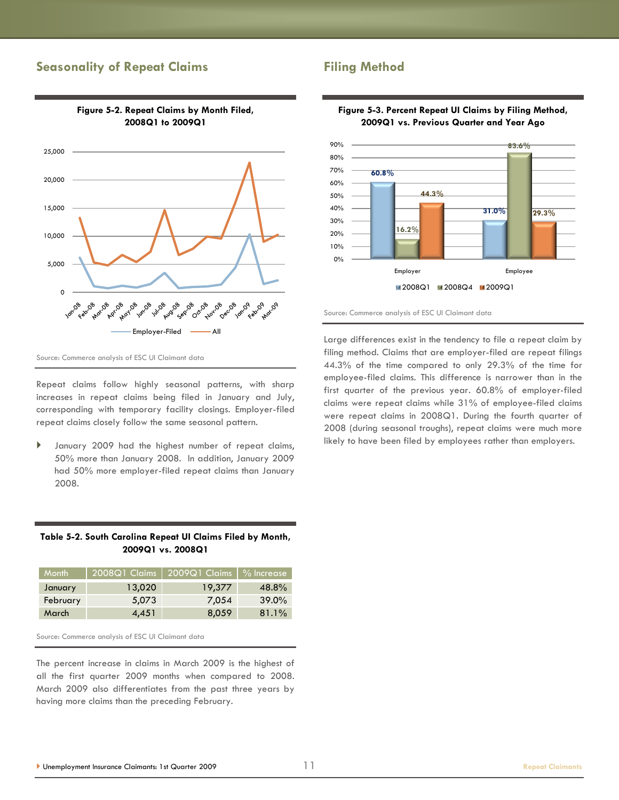## **Seasonality of Repeat Claims**



**Figure 5-2. Repeat Claims by Month Filed, 2008Q1 to 2009Q1**

Source: Commerce analysis of ESC UI Claimant data

Repeat claims follow highly seasonal patterns, with sharp increases in repeat claims being filed in January and July, corresponding with temporary facility closings. Employer-filed repeat claims closely follow the same seasonal pattern.

 January 2009 had the highest number of repeat claims, 50% more than January 2008. In addition, January 2009 had 50% more employer-filed repeat claims than January 2008.

#### **Table 5-2. South Carolina Repeat UI Claims Filed by Month, 2009Q1 vs. 2008Q1**

| <b>Month</b> | 2008Q1 Claims | 2009Q1 Claims   % Increase |          |
|--------------|---------------|----------------------------|----------|
| January      | 13,020        | 19,377                     | 48.8%    |
| February     | 5,073         | 7,054                      | $39.0\%$ |
| March        | 4,451         | 8,059                      | 81.1%    |

Source: Commerce analysis of ESC UI Claimant data

The percent increase in claims in March 2009 is the highest of all the first quarter 2009 months when compared to 2008. March 2009 also differentiates from the past three years by having more claims than the preceding February.

### **Filing Method**



#### **Figure 5-3. Percent Repeat UI Claims by Filing Method, 2009Q1 vs. Previous Quarter and Year Ago**

Source: Commerce analysis of ESC UI Claimant data

Large differences exist in the tendency to file a repeat claim by filing method. Claims that are employer-filed are repeat filings 44.3% of the time compared to only 29.3% of the time for employee-filed claims. This difference is narrower than in the first quarter of the previous year. 60.8% of employer-filed claims were repeat claims while 31% of employee-filed claims were repeat claims in 2008Q1. During the fourth quarter of 2008 (during seasonal troughs), repeat claims were much more likely to have been filed by employees rather than employers.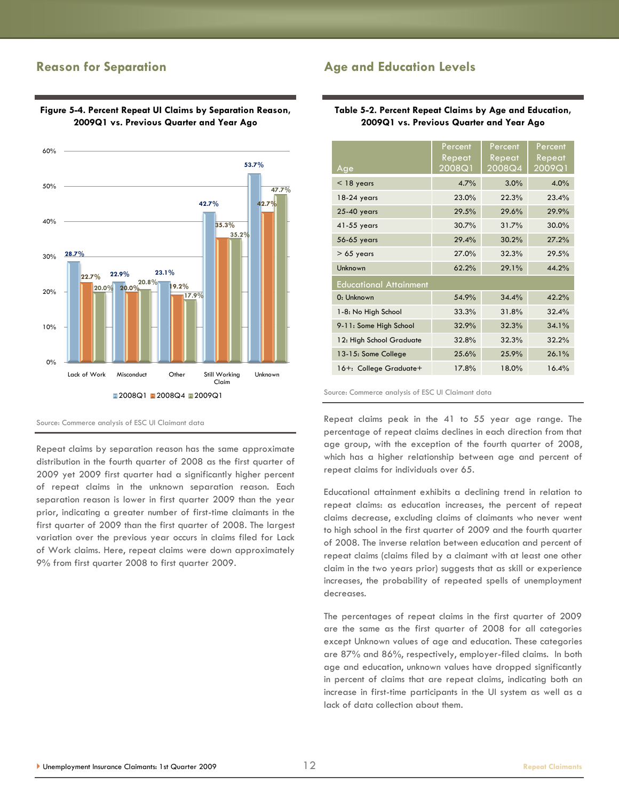## **Reason for Separation**

#### **28.7% 22.9% 23.1% 42.7% 53.7% 22.7% 20.0% 19.2% 35.3% 42.7% 20.0% 20.8% 17.9% 35.2% 47.7%** 0% 10% 20% 30% 40% 50% 60% Lack of Work Misconduct Other Still Working Claim Unknown **2008Q1 2008Q4 2009Q1**

#### **Figure 5-4. Percent Repeat UI Claims by Separation Reason, 2009Q1 vs. Previous Quarter and Year Ago**

Source: Commerce analysis of ESC UI Claimant data

Repeat claims by separation reason has the same approximate distribution in the fourth quarter of 2008 as the first quarter of 2009 yet 2009 first quarter had a significantly higher percent of repeat claims in the unknown separation reason. Each separation reason is lower in first quarter 2009 than the year prior, indicating a greater number of first-time claimants in the first quarter of 2009 than the first quarter of 2008. The largest variation over the previous year occurs in claims filed for Lack of Work claims. Here, repeat claims were down approximately 9% from first quarter 2008 to first quarter 2009.

## **Age and Education Levels**

#### **Table 5-2. Percent Repeat Claims by Age and Education, 2009Q1 vs. Previous Quarter and Year Ago**

| Age                           | Percent<br>Repeat<br>2008Q1 | Percent<br>Repeat<br>2008Q4 | Percent<br>Repeat<br>2009Q1 |  |  |
|-------------------------------|-----------------------------|-----------------------------|-----------------------------|--|--|
| $<$ 18 years                  | 4.7%                        | 3.0%                        | 4.0%                        |  |  |
| $18-24$ years                 | 23.0%                       | 22.3%                       | 23.4%                       |  |  |
| 25-40 years                   | 29.5%                       | 29.6%                       | 29.9%                       |  |  |
| 41-55 years                   | 30.7%                       | 31.7%                       | $30.0\%$                    |  |  |
| 56-65 years                   | 29.4%                       | 30.2%                       | 27.2%                       |  |  |
| $> 65$ years                  | 27.0%                       | 32.3%                       | 29.5%                       |  |  |
| Unknown                       | 62.2%                       | 29.1%                       | 44.2%                       |  |  |
| <b>Educational Attainment</b> |                             |                             |                             |  |  |
| 0: Unknown                    | 54.9%                       | 34.4%                       | 42.2%                       |  |  |
| 1-8: No High School           | 33.3%                       | 31.8%                       | 32.4%                       |  |  |
| 9-11: Some High School        | 32.9%                       | 32.3%                       | 34.1%                       |  |  |
| 12: High School Graduate      | 32.8%                       | 32.3%                       | 32.2%                       |  |  |
| 13-15: Some College           | 25.6%                       | 25.9%                       | 26.1%                       |  |  |
| 16+: College Graduate+        | 17.8%                       | 18.0%                       | 16.4%                       |  |  |

Source: Commerce analysis of ESC UI Claimant data

Repeat claims peak in the 41 to 55 year age range. The percentage of repeat claims declines in each direction from that age group, with the exception of the fourth quarter of 2008, which has a higher relationship between age and percent of repeat claims for individuals over 65.

Educational attainment exhibits a declining trend in relation to repeat claims: as education increases, the percent of repeat claims decrease, excluding claims of claimants who never went to high school in the first quarter of 2009 and the fourth quarter of 2008. The inverse relation between education and percent of repeat claims (claims filed by a claimant with at least one other claim in the two years prior) suggests that as skill or experience increases, the probability of repeated spells of unemployment decreases.

The percentages of repeat claims in the first quarter of 2009 are the same as the first quarter of 2008 for all categories except Unknown values of age and education. These categories are 87% and 86%, respectively, employer-filed claims. In both age and education, unknown values have dropped significantly in percent of claims that are repeat claims, indicating both an increase in first-time participants in the UI system as well as a lack of data collection about them.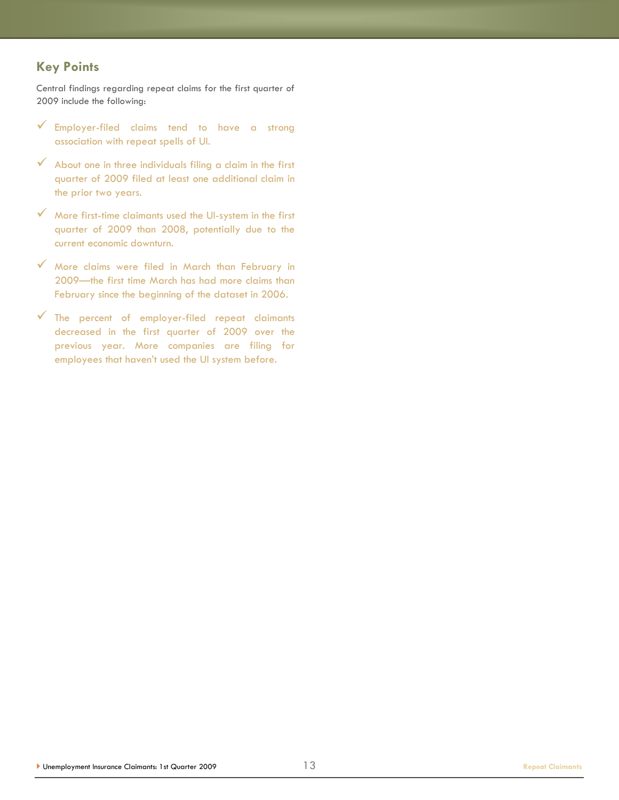## **Key Points**

Central findings regarding repeat claims for the first quarter of 2009 include the following:

- $\checkmark$  Employer-filed claims tend to have a strong association with repeat spells of UI.
- $\checkmark$  About one in three individuals filing a claim in the first quarter of 2009 filed at least one additional claim in the prior two years.
- $\checkmark$  More first-time claimants used the UI-system in the first quarter of 2009 than 2008, potentially due to the current economic downturn.
- More claims were filed in March than February in 2009—the first time March has had more claims than February since the beginning of the dataset in 2006.
- $\checkmark$  The percent of employer-filed repeat claimants decreased in the first quarter of 2009 over the previous year. More companies are filing for employees that haven't used the UI system before.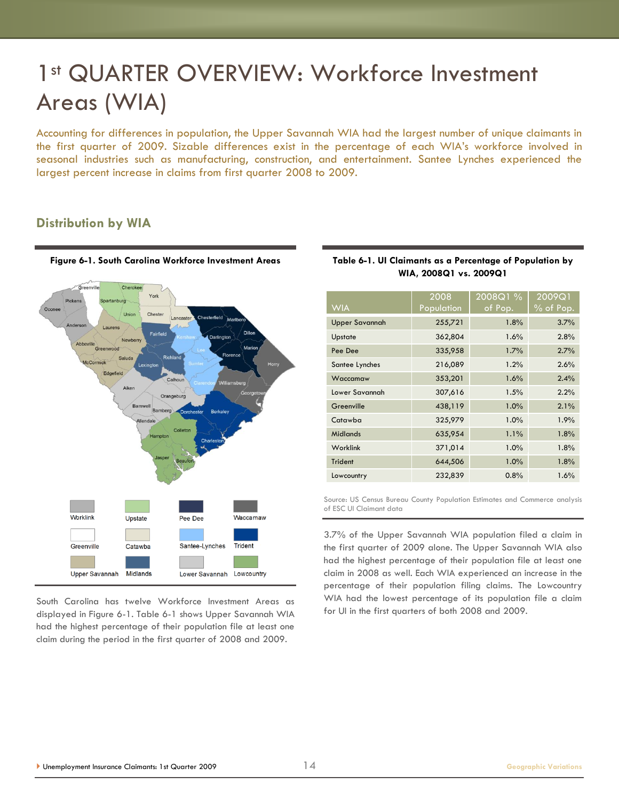## 1<sup>st</sup> QUARTER OVERVIEW: Workforce Investment Areas (WIA)

Accounting for differences in population, the Upper Savannah WIA had the largest number of unique claimants in the first quarter of 2009. Sizable differences exist in the percentage of each WIA's workforce involved in seasonal industries such as manufacturing, construction, and entertainment. Santee Lynches experienced the largest percent increase in claims from first quarter 2008 to 2009.

## **Distribution by WIA**



South Carolina has twelve Workforce Investment Areas as displayed in Figure 6-1. Table 6-1 shows Upper Savannah WIA had the highest percentage of their population file at least one claim during the period in the first quarter of 2008 and 2009.

| Table 6-1. UI Claimants as a Percentage of Population by |  |  |  |  |  |  |
|----------------------------------------------------------|--|--|--|--|--|--|
| WIA, 2008Q1 vs. 2009Q1                                   |  |  |  |  |  |  |
|                                                          |  |  |  |  |  |  |

| <b>WIA</b>            | 2008<br>Population | 2008Q1 %<br>of Pop. | $200\overline{9}$ Q1<br>$%$ of Pop. |
|-----------------------|--------------------|---------------------|-------------------------------------|
| <b>Upper Savannah</b> | 255,721            | 1.8%                | 3.7%                                |
| Upstate               | 362,804            | 1.6%                | 2.8%                                |
| Pee Dee               | 335,958            | 1.7%                | 2.7%                                |
| Santee Lynches        | 216,089            | 1.2%                | 2.6%                                |
| Waccamaw              | 353,201            | 1.6%                | 2.4%                                |
| Lower Savannah        | 307,616            | 1.5%                | 2.2%                                |
| Greenville            | 438,119            | 1.0%                | 2.1%                                |
| Catawba               | 325,979            | 1.0%                | 1.9%                                |
| <b>Midlands</b>       | 635,954            | 1.1%                | 1.8%                                |
| <b>Worklink</b>       | 371,014            | 1.0%                | 1.8%                                |
| Trident               | 644,506            | 1.0%                | 1.8%                                |
| Lowcountry            | 232,839            | 0.8%                | 1.6%                                |

Source: US Census Bureau County Population Estimates and Commerce analysis of ESC UI Claimant data

3.7% of the Upper Savannah WIA population filed a claim in the first quarter of 2009 alone. The Upper Savannah WIA also had the highest percentage of their population file at least one claim in 2008 as well. Each WIA experienced an increase in the percentage of their population filing claims. The Lowcountry WIA had the lowest percentage of its population file a claim for UI in the first quarters of both 2008 and 2009.